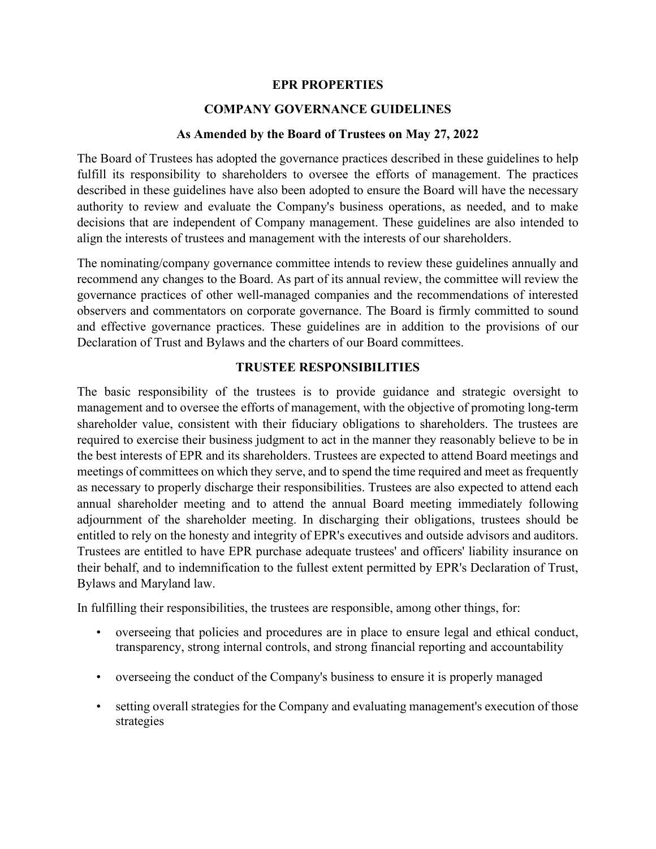#### **EPR PROPERTIES**

### **COMPANY GOVERNANCE GUIDELINES**

#### **As Amended by the Board of Trustees on May 27, 2022**

The Board of Trustees has adopted the governance practices described in these guidelines to help fulfill its responsibility to shareholders to oversee the efforts of management. The practices described in these guidelines have also been adopted to ensure the Board will have the necessary authority to review and evaluate the Company's business operations, as needed, and to make decisions that are independent of Company management. These guidelines are also intended to align the interests of trustees and management with the interests of our shareholders.

The nominating/company governance committee intends to review these guidelines annually and recommend any changes to the Board. As part of its annual review, the committee will review the governance practices of other well-managed companies and the recommendations of interested observers and commentators on corporate governance. The Board is firmly committed to sound and effective governance practices. These guidelines are in addition to the provisions of our Declaration of Trust and Bylaws and the charters of our Board committees.

#### **TRUSTEE RESPONSIBILITIES**

The basic responsibility of the trustees is to provide guidance and strategic oversight to management and to oversee the efforts of management, with the objective of promoting long-term shareholder value, consistent with their fiduciary obligations to shareholders. The trustees are required to exercise their business judgment to act in the manner they reasonably believe to be in the best interests of EPR and its shareholders. Trustees are expected to attend Board meetings and meetings of committees on which they serve, and to spend the time required and meet as frequently as necessary to properly discharge their responsibilities. Trustees are also expected to attend each annual shareholder meeting and to attend the annual Board meeting immediately following adjournment of the shareholder meeting. In discharging their obligations, trustees should be entitled to rely on the honesty and integrity of EPR's executives and outside advisors and auditors. Trustees are entitled to have EPR purchase adequate trustees' and officers' liability insurance on their behalf, and to indemnification to the fullest extent permitted by EPR's Declaration of Trust, Bylaws and Maryland law.

In fulfilling their responsibilities, the trustees are responsible, among other things, for:

- overseeing that policies and procedures are in place to ensure legal and ethical conduct, transparency, strong internal controls, and strong financial reporting and accountability
- overseeing the conduct of the Company's business to ensure it is properly managed
- setting overall strategies for the Company and evaluating management's execution of those strategies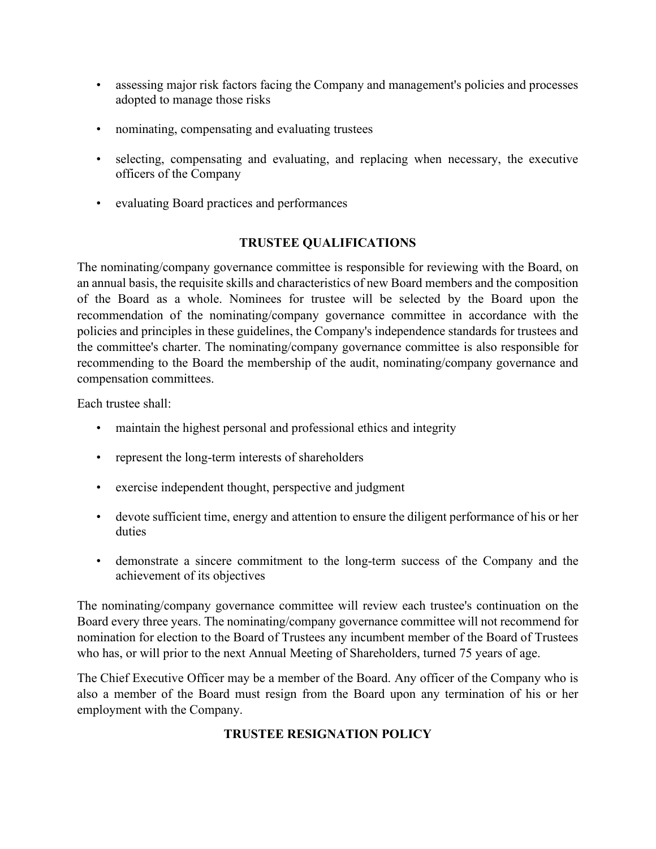- assessing major risk factors facing the Company and management's policies and processes adopted to manage those risks
- nominating, compensating and evaluating trustees
- selecting, compensating and evaluating, and replacing when necessary, the executive officers of the Company
- evaluating Board practices and performances

# **TRUSTEE QUALIFICATIONS**

The nominating/company governance committee is responsible for reviewing with the Board, on an annual basis, the requisite skills and characteristics of new Board members and the composition of the Board as a whole. Nominees for trustee will be selected by the Board upon the recommendation of the nominating/company governance committee in accordance with the policies and principles in these guidelines, the Company's independence standards for trustees and the committee's charter. The nominating/company governance committee is also responsible for recommending to the Board the membership of the audit, nominating/company governance and compensation committees.

Each trustee shall:

- maintain the highest personal and professional ethics and integrity
- represent the long-term interests of shareholders
- exercise independent thought, perspective and judgment
- devote sufficient time, energy and attention to ensure the diligent performance of his or her duties
- demonstrate a sincere commitment to the long-term success of the Company and the achievement of its objectives

The nominating/company governance committee will review each trustee's continuation on the Board every three years. The nominating/company governance committee will not recommend for nomination for election to the Board of Trustees any incumbent member of the Board of Trustees who has, or will prior to the next Annual Meeting of Shareholders, turned 75 years of age.

The Chief Executive Officer may be a member of the Board. Any officer of the Company who is also a member of the Board must resign from the Board upon any termination of his or her employment with the Company.

# **TRUSTEE RESIGNATION POLICY**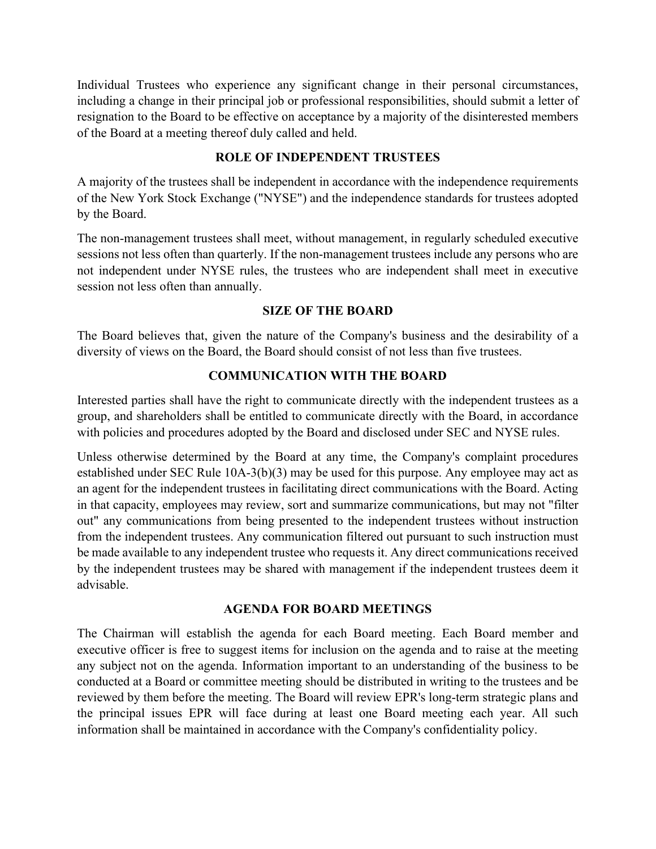Individual Trustees who experience any significant change in their personal circumstances, including a change in their principal job or professional responsibilities, should submit a letter of resignation to the Board to be effective on acceptance by a majority of the disinterested members of the Board at a meeting thereof duly called and held.

### **ROLE OF INDEPENDENT TRUSTEES**

A majority of the trustees shall be independent in accordance with the independence requirements of the New York Stock Exchange ("NYSE") and the independence standards for trustees adopted by the Board.

The non-management trustees shall meet, without management, in regularly scheduled executive sessions not less often than quarterly. If the non-management trustees include any persons who are not independent under NYSE rules, the trustees who are independent shall meet in executive session not less often than annually.

### **SIZE OF THE BOARD**

The Board believes that, given the nature of the Company's business and the desirability of a diversity of views on the Board, the Board should consist of not less than five trustees.

#### **COMMUNICATION WITH THE BOARD**

Interested parties shall have the right to communicate directly with the independent trustees as a group, and shareholders shall be entitled to communicate directly with the Board, in accordance with policies and procedures adopted by the Board and disclosed under SEC and NYSE rules.

Unless otherwise determined by the Board at any time, the Company's complaint procedures established under SEC Rule 10A-3(b)(3) may be used for this purpose. Any employee may act as an agent for the independent trustees in facilitating direct communications with the Board. Acting in that capacity, employees may review, sort and summarize communications, but may not "filter out" any communications from being presented to the independent trustees without instruction from the independent trustees. Any communication filtered out pursuant to such instruction must be made available to any independent trustee who requests it. Any direct communications received by the independent trustees may be shared with management if the independent trustees deem it advisable.

### **AGENDA FOR BOARD MEETINGS**

The Chairman will establish the agenda for each Board meeting. Each Board member and executive officer is free to suggest items for inclusion on the agenda and to raise at the meeting any subject not on the agenda. Information important to an understanding of the business to be conducted at a Board or committee meeting should be distributed in writing to the trustees and be reviewed by them before the meeting. The Board will review EPR's long-term strategic plans and the principal issues EPR will face during at least one Board meeting each year. All such information shall be maintained in accordance with the Company's confidentiality policy.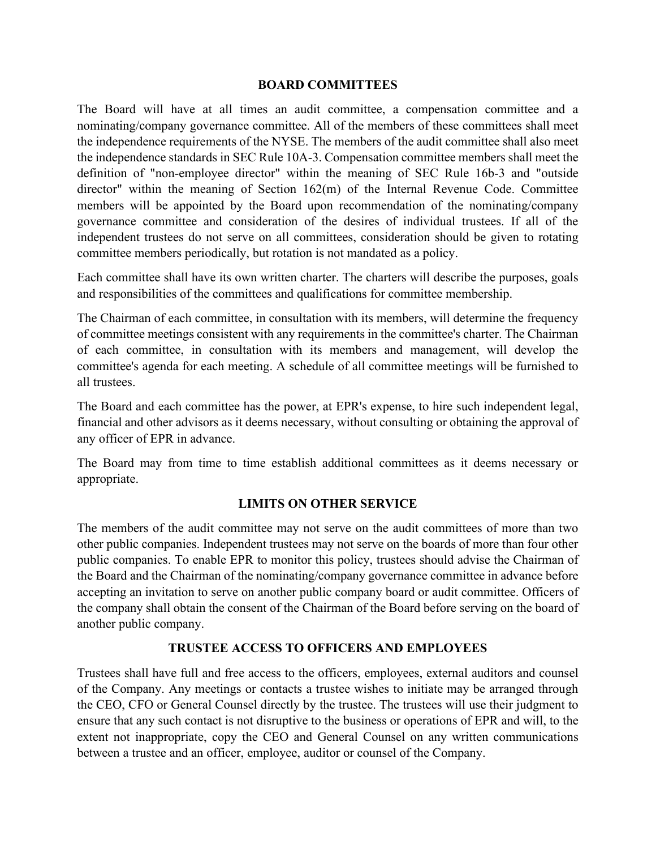#### **BOARD COMMITTEES**

The Board will have at all times an audit committee, a compensation committee and a nominating/company governance committee. All of the members of these committees shall meet the independence requirements of the NYSE. The members of the audit committee shall also meet the independence standards in SEC Rule 10A-3. Compensation committee members shall meet the definition of "non-employee director" within the meaning of SEC Rule 16b-3 and "outside director" within the meaning of Section 162(m) of the Internal Revenue Code. Committee members will be appointed by the Board upon recommendation of the nominating/company governance committee and consideration of the desires of individual trustees. If all of the independent trustees do not serve on all committees, consideration should be given to rotating committee members periodically, but rotation is not mandated as a policy.

Each committee shall have its own written charter. The charters will describe the purposes, goals and responsibilities of the committees and qualifications for committee membership.

The Chairman of each committee, in consultation with its members, will determine the frequency of committee meetings consistent with any requirements in the committee's charter. The Chairman of each committee, in consultation with its members and management, will develop the committee's agenda for each meeting. A schedule of all committee meetings will be furnished to all trustees.

The Board and each committee has the power, at EPR's expense, to hire such independent legal, financial and other advisors as it deems necessary, without consulting or obtaining the approval of any officer of EPR in advance.

The Board may from time to time establish additional committees as it deems necessary or appropriate.

# **LIMITS ON OTHER SERVICE**

The members of the audit committee may not serve on the audit committees of more than two other public companies. Independent trustees may not serve on the boards of more than four other public companies. To enable EPR to monitor this policy, trustees should advise the Chairman of the Board and the Chairman of the nominating/company governance committee in advance before accepting an invitation to serve on another public company board or audit committee. Officers of the company shall obtain the consent of the Chairman of the Board before serving on the board of another public company.

# **TRUSTEE ACCESS TO OFFICERS AND EMPLOYEES**

Trustees shall have full and free access to the officers, employees, external auditors and counsel of the Company. Any meetings or contacts a trustee wishes to initiate may be arranged through the CEO, CFO or General Counsel directly by the trustee. The trustees will use their judgment to ensure that any such contact is not disruptive to the business or operations of EPR and will, to the extent not inappropriate, copy the CEO and General Counsel on any written communications between a trustee and an officer, employee, auditor or counsel of the Company.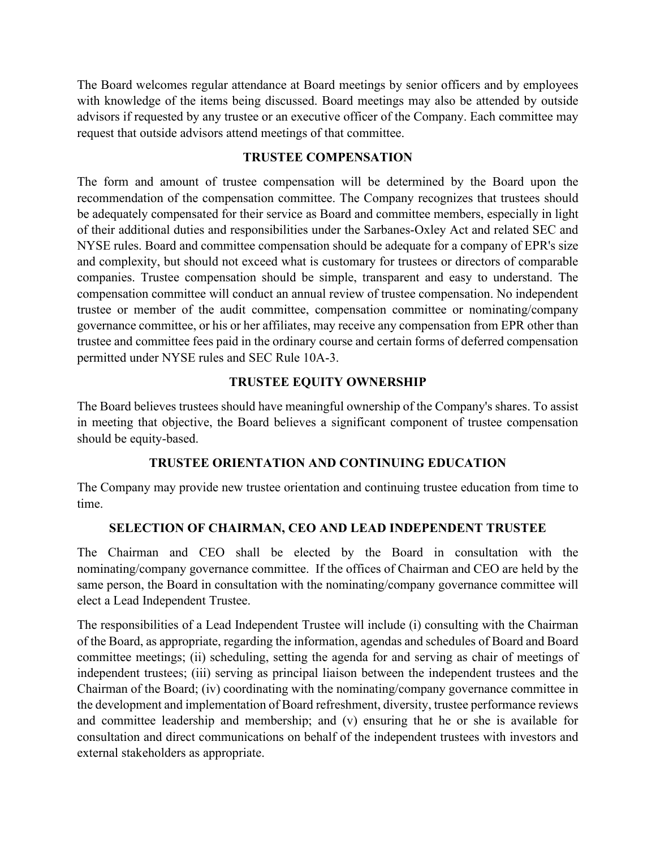The Board welcomes regular attendance at Board meetings by senior officers and by employees with knowledge of the items being discussed. Board meetings may also be attended by outside advisors if requested by any trustee or an executive officer of the Company. Each committee may request that outside advisors attend meetings of that committee.

### **TRUSTEE COMPENSATION**

The form and amount of trustee compensation will be determined by the Board upon the recommendation of the compensation committee. The Company recognizes that trustees should be adequately compensated for their service as Board and committee members, especially in light of their additional duties and responsibilities under the Sarbanes-Oxley Act and related SEC and NYSE rules. Board and committee compensation should be adequate for a company of EPR's size and complexity, but should not exceed what is customary for trustees or directors of comparable companies. Trustee compensation should be simple, transparent and easy to understand. The compensation committee will conduct an annual review of trustee compensation. No independent trustee or member of the audit committee, compensation committee or nominating/company governance committee, or his or her affiliates, may receive any compensation from EPR other than trustee and committee fees paid in the ordinary course and certain forms of deferred compensation permitted under NYSE rules and SEC Rule 10A-3.

# **TRUSTEE EQUITY OWNERSHIP**

The Board believes trustees should have meaningful ownership of the Company's shares. To assist in meeting that objective, the Board believes a significant component of trustee compensation should be equity-based.

# **TRUSTEE ORIENTATION AND CONTINUING EDUCATION**

The Company may provide new trustee orientation and continuing trustee education from time to time.

# **SELECTION OF CHAIRMAN, CEO AND LEAD INDEPENDENT TRUSTEE**

The Chairman and CEO shall be elected by the Board in consultation with the nominating/company governance committee. If the offices of Chairman and CEO are held by the same person, the Board in consultation with the nominating/company governance committee will elect a Lead Independent Trustee.

The responsibilities of a Lead Independent Trustee will include (i) consulting with the Chairman of the Board, as appropriate, regarding the information, agendas and schedules of Board and Board committee meetings; (ii) scheduling, setting the agenda for and serving as chair of meetings of independent trustees; (iii) serving as principal liaison between the independent trustees and the Chairman of the Board; (iv) coordinating with the nominating/company governance committee in the development and implementation of Board refreshment, diversity, trustee performance reviews and committee leadership and membership; and (v) ensuring that he or she is available for consultation and direct communications on behalf of the independent trustees with investors and external stakeholders as appropriate.